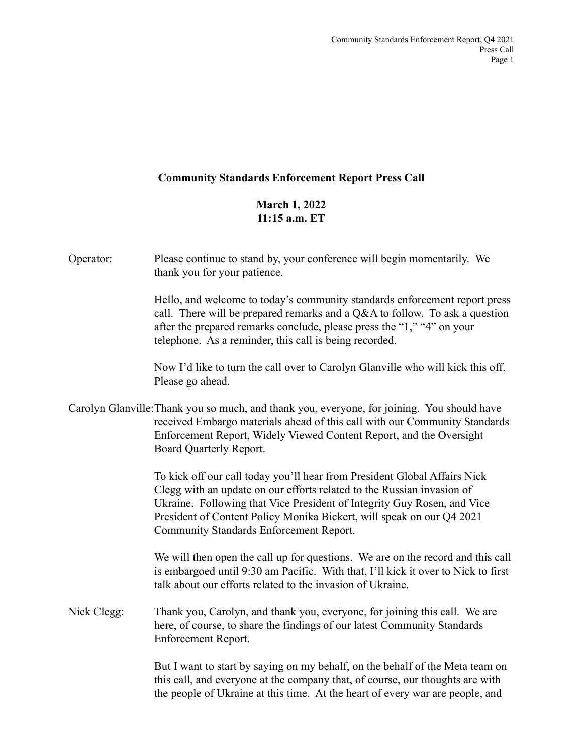## **Community Standards Enforcement Report Press Call**

**March 1, 2022 11:15 a.m. ET**

| Operator:   | Please continue to stand by, your conference will begin momentarily. We<br>thank you for your patience.                                                                                                                                                                                                                                            |
|-------------|----------------------------------------------------------------------------------------------------------------------------------------------------------------------------------------------------------------------------------------------------------------------------------------------------------------------------------------------------|
|             | Hello, and welcome to today's community standards enforcement report press<br>call. There will be prepared remarks and a $Q&A$ to follow. To ask a question<br>after the prepared remarks conclude, please press the "1," "4" on your<br>telephone. As a reminder, this call is being recorded.                                                    |
|             | Now I'd like to turn the call over to Carolyn Glanville who will kick this off.<br>Please go ahead.                                                                                                                                                                                                                                                |
|             | Carolyn Glanville: Thank you so much, and thank you, everyone, for joining. You should have<br>received Embargo materials ahead of this call with our Community Standards<br>Enforcement Report, Widely Viewed Content Report, and the Oversight<br>Board Quarterly Report.                                                                        |
|             | To kick off our call today you'll hear from President Global Affairs Nick<br>Clegg with an update on our efforts related to the Russian invasion of<br>Ukraine. Following that Vice President of Integrity Guy Rosen, and Vice<br>President of Content Policy Monika Bickert, will speak on our Q4 2021<br>Community Standards Enforcement Report. |
|             | We will then open the call up for questions. We are on the record and this call<br>is embargoed until 9:30 am Pacific. With that, I'll kick it over to Nick to first<br>talk about our efforts related to the invasion of Ukraine.                                                                                                                 |
| Nick Clegg: | Thank you, Carolyn, and thank you, everyone, for joining this call. We are<br>here, of course, to share the findings of our latest Community Standards<br>Enforcement Report.                                                                                                                                                                      |
|             | But I want to start by saying on my behalf, on the behalf of the Meta team on<br>this call, and everyone at the company that, of course, our thoughts are with<br>the people of Ukraine at this time. At the heart of every war are people, and                                                                                                    |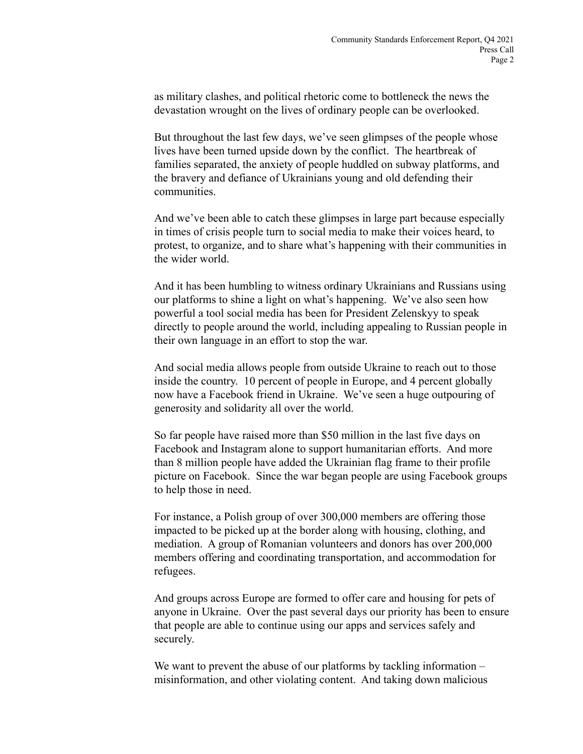as military clashes, and political rhetoric come to bottleneck the news the devastation wrought on the lives of ordinary people can be overlooked.

But throughout the last few days, we've seen glimpses of the people whose lives have been turned upside down by the conflict. The heartbreak of families separated, the anxiety of people huddled on subway platforms, and the bravery and defiance of Ukrainians young and old defending their communities.

And we've been able to catch these glimpses in large part because especially in times of crisis people turn to social media to make their voices heard, to protest, to organize, and to share what's happening with their communities in the wider world.

And it has been humbling to witness ordinary Ukrainians and Russians using our platforms to shine a light on what's happening. We've also seen how powerful a tool social media has been for President Zelenskyy to speak directly to people around the world, including appealing to Russian people in their own language in an effort to stop the war.

And social media allows people from outside Ukraine to reach out to those inside the country. 10 percent of people in Europe, and 4 percent globally now have a Facebook friend in Ukraine. We've seen a huge outpouring of generosity and solidarity all over the world.

So far people have raised more than \$50 million in the last five days on Facebook and Instagram alone to support humanitarian efforts. And more than 8 million people have added the Ukrainian flag frame to their profile picture on Facebook. Since the war began people are using Facebook groups to help those in need.

For instance, a Polish group of over 300,000 members are offering those impacted to be picked up at the border along with housing, clothing, and mediation. A group of Romanian volunteers and donors has over 200,000 members offering and coordinating transportation, and accommodation for refugees.

And groups across Europe are formed to offer care and housing for pets of anyone in Ukraine. Over the past several days our priority has been to ensure that people are able to continue using our apps and services safely and securely.

We want to prevent the abuse of our platforms by tackling information – misinformation, and other violating content. And taking down malicious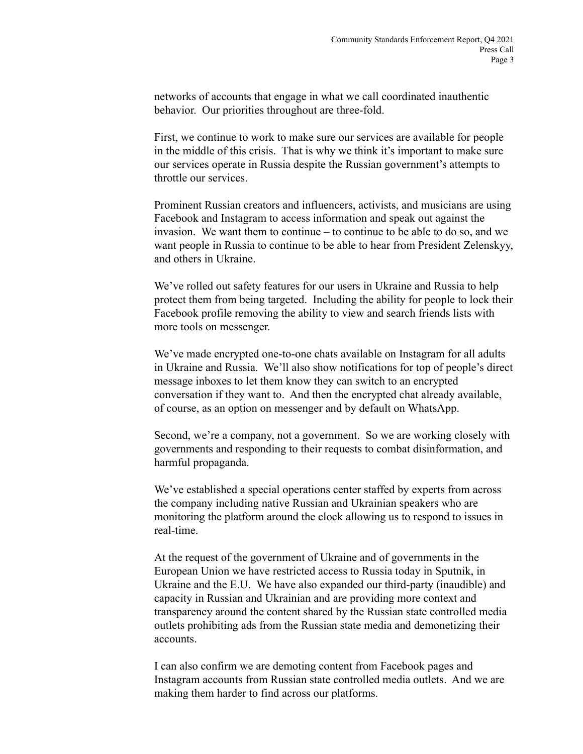networks of accounts that engage in what we call coordinated inauthentic behavior. Our priorities throughout are three-fold.

First, we continue to work to make sure our services are available for people in the middle of this crisis. That is why we think it's important to make sure our services operate in Russia despite the Russian government's attempts to throttle our services.

Prominent Russian creators and influencers, activists, and musicians are using Facebook and Instagram to access information and speak out against the invasion. We want them to continue – to continue to be able to do so, and we want people in Russia to continue to be able to hear from President Zelenskyy, and others in Ukraine.

We've rolled out safety features for our users in Ukraine and Russia to help protect them from being targeted. Including the ability for people to lock their Facebook profile removing the ability to view and search friends lists with more tools on messenger.

We've made encrypted one-to-one chats available on Instagram for all adults in Ukraine and Russia. We'll also show notifications for top of people's direct message inboxes to let them know they can switch to an encrypted conversation if they want to. And then the encrypted chat already available, of course, as an option on messenger and by default on WhatsApp.

Second, we're a company, not a government. So we are working closely with governments and responding to their requests to combat disinformation, and harmful propaganda.

We've established a special operations center staffed by experts from across the company including native Russian and Ukrainian speakers who are monitoring the platform around the clock allowing us to respond to issues in real-time.

At the request of the government of Ukraine and of governments in the European Union we have restricted access to Russia today in Sputnik, in Ukraine and the E.U. We have also expanded our third-party (inaudible) and capacity in Russian and Ukrainian and are providing more context and transparency around the content shared by the Russian state controlled media outlets prohibiting ads from the Russian state media and demonetizing their accounts.

I can also confirm we are demoting content from Facebook pages and Instagram accounts from Russian state controlled media outlets. And we are making them harder to find across our platforms.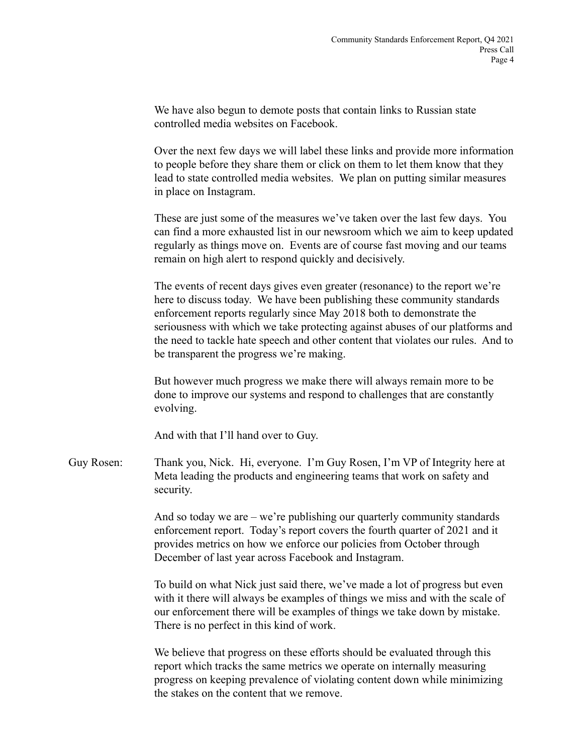We have also begun to demote posts that contain links to Russian state controlled media websites on Facebook.

Over the next few days we will label these links and provide more information to people before they share them or click on them to let them know that they lead to state controlled media websites. We plan on putting similar measures in place on Instagram.

These are just some of the measures we've taken over the last few days. You can find a more exhausted list in our newsroom which we aim to keep updated regularly as things move on. Events are of course fast moving and our teams remain on high alert to respond quickly and decisively.

The events of recent days gives even greater (resonance) to the report we're here to discuss today. We have been publishing these community standards enforcement reports regularly since May 2018 both to demonstrate the seriousness with which we take protecting against abuses of our platforms and the need to tackle hate speech and other content that violates our rules. And to be transparent the progress we're making.

But however much progress we make there will always remain more to be done to improve our systems and respond to challenges that are constantly evolving.

And with that I'll hand over to Guy.

Guy Rosen: Thank you, Nick. Hi, everyone. I'm Guy Rosen, I'm VP of Integrity here at Meta leading the products and engineering teams that work on safety and security.

> And so today we are – we're publishing our quarterly community standards enforcement report. Today's report covers the fourth quarter of 2021 and it provides metrics on how we enforce our policies from October through December of last year across Facebook and Instagram.

To build on what Nick just said there, we've made a lot of progress but even with it there will always be examples of things we miss and with the scale of our enforcement there will be examples of things we take down by mistake. There is no perfect in this kind of work.

We believe that progress on these efforts should be evaluated through this report which tracks the same metrics we operate on internally measuring progress on keeping prevalence of violating content down while minimizing the stakes on the content that we remove.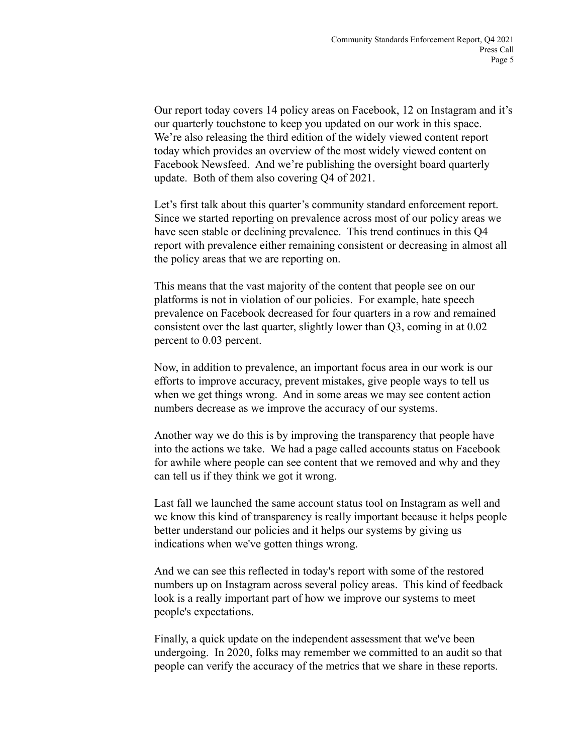Our report today covers 14 policy areas on Facebook, 12 on Instagram and it's our quarterly touchstone to keep you updated on our work in this space. We're also releasing the third edition of the widely viewed content report today which provides an overview of the most widely viewed content on Facebook Newsfeed. And we're publishing the oversight board quarterly update. Both of them also covering Q4 of 2021.

Let's first talk about this quarter's community standard enforcement report. Since we started reporting on prevalence across most of our policy areas we have seen stable or declining prevalence. This trend continues in this Q4 report with prevalence either remaining consistent or decreasing in almost all the policy areas that we are reporting on.

This means that the vast majority of the content that people see on our platforms is not in violation of our policies. For example, hate speech prevalence on Facebook decreased for four quarters in a row and remained consistent over the last quarter, slightly lower than Q3, coming in at 0.02 percent to 0.03 percent.

Now, in addition to prevalence, an important focus area in our work is our efforts to improve accuracy, prevent mistakes, give people ways to tell us when we get things wrong. And in some areas we may see content action numbers decrease as we improve the accuracy of our systems.

Another way we do this is by improving the transparency that people have into the actions we take. We had a page called accounts status on Facebook for awhile where people can see content that we removed and why and they can tell us if they think we got it wrong.

Last fall we launched the same account status tool on Instagram as well and we know this kind of transparency is really important because it helps people better understand our policies and it helps our systems by giving us indications when we've gotten things wrong.

And we can see this reflected in today's report with some of the restored numbers up on Instagram across several policy areas. This kind of feedback look is a really important part of how we improve our systems to meet people's expectations.

Finally, a quick update on the independent assessment that we've been undergoing. In 2020, folks may remember we committed to an audit so that people can verify the accuracy of the metrics that we share in these reports.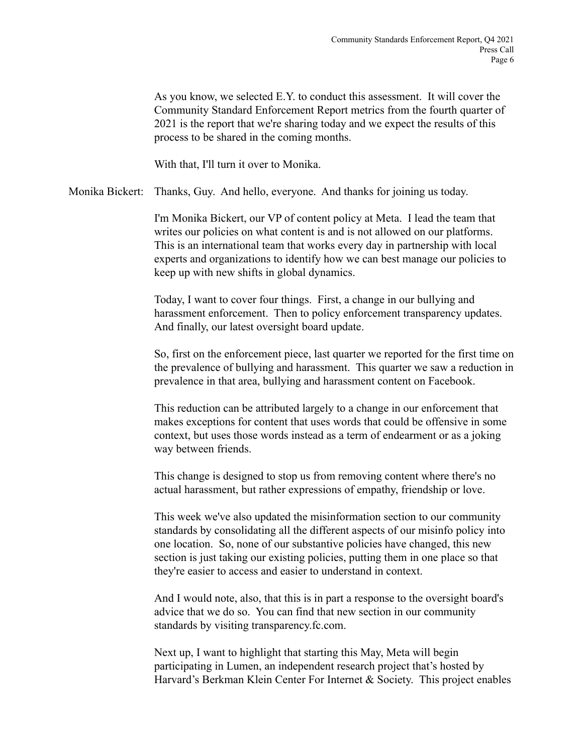As you know, we selected E.Y. to conduct this assessment. It will cover the Community Standard Enforcement Report metrics from the fourth quarter of 2021 is the report that we're sharing today and we expect the results of this process to be shared in the coming months.

With that, I'll turn it over to Monika.

Monika Bickert: Thanks, Guy. And hello, everyone. And thanks for joining us today.

I'm Monika Bickert, our VP of content policy at Meta. I lead the team that writes our policies on what content is and is not allowed on our platforms. This is an international team that works every day in partnership with local experts and organizations to identify how we can best manage our policies to keep up with new shifts in global dynamics.

Today, I want to cover four things. First, a change in our bullying and harassment enforcement. Then to policy enforcement transparency updates. And finally, our latest oversight board update.

So, first on the enforcement piece, last quarter we reported for the first time on the prevalence of bullying and harassment. This quarter we saw a reduction in prevalence in that area, bullying and harassment content on Facebook.

This reduction can be attributed largely to a change in our enforcement that makes exceptions for content that uses words that could be offensive in some context, but uses those words instead as a term of endearment or as a joking way between friends.

This change is designed to stop us from removing content where there's no actual harassment, but rather expressions of empathy, friendship or love.

This week we've also updated the misinformation section to our community standards by consolidating all the different aspects of our misinfo policy into one location. So, none of our substantive policies have changed, this new section is just taking our existing policies, putting them in one place so that they're easier to access and easier to understand in context.

And I would note, also, that this is in part a response to the oversight board's advice that we do so. You can find that new section in our community standards by visiting transparency.fc.com.

Next up, I want to highlight that starting this May, Meta will begin participating in Lumen, an independent research project that's hosted by Harvard's Berkman Klein Center For Internet & Society. This project enables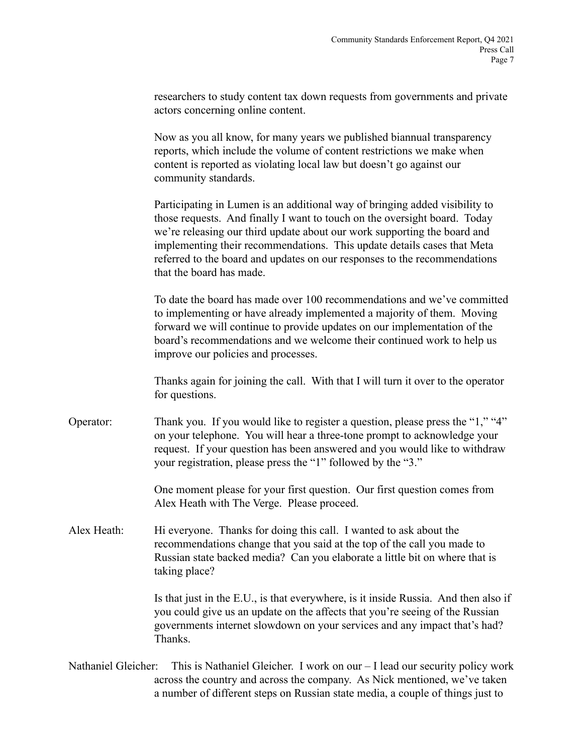researchers to study content tax down requests from governments and private actors concerning online content.

Now as you all know, for many years we published biannual transparency reports, which include the volume of content restrictions we make when content is reported as violating local law but doesn't go against our community standards.

Participating in Lumen is an additional way of bringing added visibility to those requests. And finally I want to touch on the oversight board. Today we're releasing our third update about our work supporting the board and implementing their recommendations. This update details cases that Meta referred to the board and updates on our responses to the recommendations that the board has made.

To date the board has made over 100 recommendations and we've committed to implementing or have already implemented a majority of them. Moving forward we will continue to provide updates on our implementation of the board's recommendations and we welcome their continued work to help us improve our policies and processes.

Thanks again for joining the call. With that I will turn it over to the operator for questions.

Operator: Thank you. If you would like to register a question, please press the "1," "4" on your telephone. You will hear a three-tone prompt to acknowledge your request. If your question has been answered and you would like to withdraw your registration, please press the "1" followed by the "3."

> One moment please for your first question. Our first question comes from Alex Heath with The Verge. Please proceed.

Alex Heath: Hi everyone. Thanks for doing this call. I wanted to ask about the recommendations change that you said at the top of the call you made to Russian state backed media? Can you elaborate a little bit on where that is taking place?

> Is that just in the E.U., is that everywhere, is it inside Russia. And then also if you could give us an update on the affects that you're seeing of the Russian governments internet slowdown on your services and any impact that's had? Thanks.

Nathaniel Gleicher: This is Nathaniel Gleicher. I work on our – I lead our security policy work across the country and across the company. As Nick mentioned, we've taken a number of different steps on Russian state media, a couple of things just to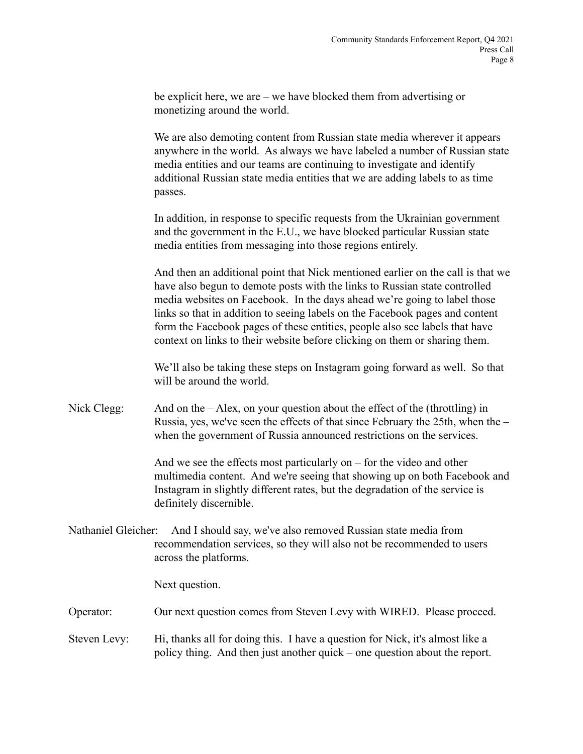be explicit here, we are – we have blocked them from advertising or monetizing around the world.

We are also demoting content from Russian state media wherever it appears anywhere in the world. As always we have labeled a number of Russian state media entities and our teams are continuing to investigate and identify additional Russian state media entities that we are adding labels to as time passes.

In addition, in response to specific requests from the Ukrainian government and the government in the E.U., we have blocked particular Russian state media entities from messaging into those regions entirely.

And then an additional point that Nick mentioned earlier on the call is that we have also begun to demote posts with the links to Russian state controlled media websites on Facebook. In the days ahead we're going to label those links so that in addition to seeing labels on the Facebook pages and content form the Facebook pages of these entities, people also see labels that have context on links to their website before clicking on them or sharing them.

We'll also be taking these steps on Instagram going forward as well. So that will be around the world.

Nick Clegg: And on the – Alex, on your question about the effect of the (throttling) in Russia, yes, we've seen the effects of that since February the 25th, when the – when the government of Russia announced restrictions on the services.

> And we see the effects most particularly on – for the video and other multimedia content. And we're seeing that showing up on both Facebook and Instagram in slightly different rates, but the degradation of the service is definitely discernible.

Nathaniel Gleicher: And I should say, we've also removed Russian state media from recommendation services, so they will also not be recommended to users across the platforms.

Next question.

Operator: Our next question comes from Steven Levy with WIRED. Please proceed.

Steven Levy: Hi, thanks all for doing this. I have a question for Nick, it's almost like a policy thing. And then just another quick – one question about the report.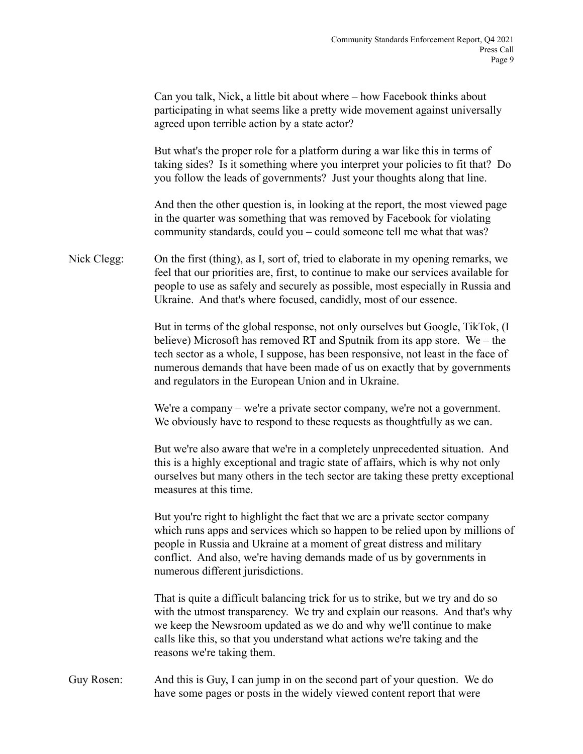Can you talk, Nick, a little bit about where – how Facebook thinks about participating in what seems like a pretty wide movement against universally agreed upon terrible action by a state actor?

But what's the proper role for a platform during a war like this in terms of taking sides? Is it something where you interpret your policies to fit that? Do you follow the leads of governments? Just your thoughts along that line.

And then the other question is, in looking at the report, the most viewed page in the quarter was something that was removed by Facebook for violating community standards, could you – could someone tell me what that was?

Nick Clegg: On the first (thing), as I, sort of, tried to elaborate in my opening remarks, we feel that our priorities are, first, to continue to make our services available for people to use as safely and securely as possible, most especially in Russia and Ukraine. And that's where focused, candidly, most of our essence.

> But in terms of the global response, not only ourselves but Google, TikTok, (I believe) Microsoft has removed RT and Sputnik from its app store. We – the tech sector as a whole, I suppose, has been responsive, not least in the face of numerous demands that have been made of us on exactly that by governments and regulators in the European Union and in Ukraine.

We're a company – we're a private sector company, we're not a government. We obviously have to respond to these requests as thoughtfully as we can.

But we're also aware that we're in a completely unprecedented situation. And this is a highly exceptional and tragic state of affairs, which is why not only ourselves but many others in the tech sector are taking these pretty exceptional measures at this time.

But you're right to highlight the fact that we are a private sector company which runs apps and services which so happen to be relied upon by millions of people in Russia and Ukraine at a moment of great distress and military conflict. And also, we're having demands made of us by governments in numerous different jurisdictions.

That is quite a difficult balancing trick for us to strike, but we try and do so with the utmost transparency. We try and explain our reasons. And that's why we keep the Newsroom updated as we do and why we'll continue to make calls like this, so that you understand what actions we're taking and the reasons we're taking them.

Guy Rosen: And this is Guy, I can jump in on the second part of your question. We do have some pages or posts in the widely viewed content report that were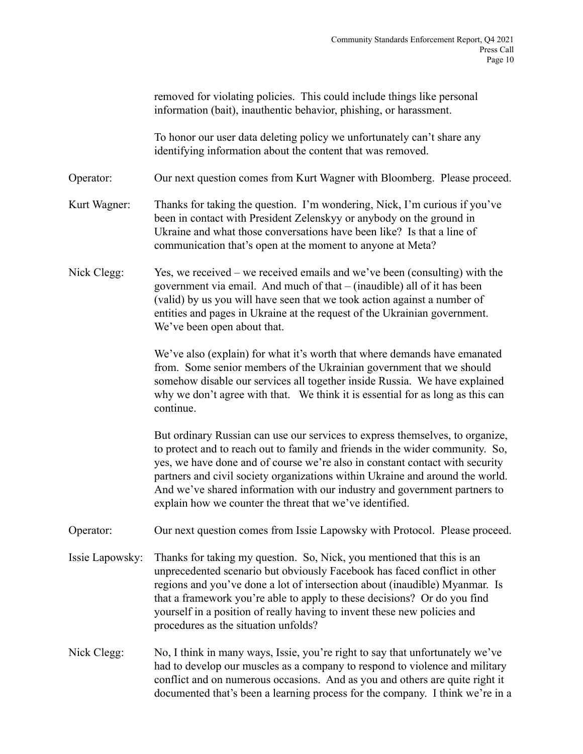|                 | removed for violating policies. This could include things like personal<br>information (bait), inauthentic behavior, phishing, or harassment.                                                                                                                                                                                                                                                                                                                            |
|-----------------|--------------------------------------------------------------------------------------------------------------------------------------------------------------------------------------------------------------------------------------------------------------------------------------------------------------------------------------------------------------------------------------------------------------------------------------------------------------------------|
|                 | To honor our user data deleting policy we unfortunately can't share any<br>identifying information about the content that was removed.                                                                                                                                                                                                                                                                                                                                   |
| Operator:       | Our next question comes from Kurt Wagner with Bloomberg. Please proceed.                                                                                                                                                                                                                                                                                                                                                                                                 |
| Kurt Wagner:    | Thanks for taking the question. I'm wondering, Nick, I'm curious if you've<br>been in contact with President Zelenskyy or anybody on the ground in<br>Ukraine and what those conversations have been like? Is that a line of<br>communication that's open at the moment to anyone at Meta?                                                                                                                                                                               |
| Nick Clegg:     | Yes, we received – we received emails and we've been (consulting) with the<br>government via email. And much of that – (inaudible) all of it has been<br>(valid) by us you will have seen that we took action against a number of<br>entities and pages in Ukraine at the request of the Ukrainian government.<br>We've been open about that.                                                                                                                            |
|                 | We've also (explain) for what it's worth that where demands have emanated<br>from. Some senior members of the Ukrainian government that we should<br>somehow disable our services all together inside Russia. We have explained<br>why we don't agree with that. We think it is essential for as long as this can<br>continue.                                                                                                                                           |
|                 | But ordinary Russian can use our services to express themselves, to organize,<br>to protect and to reach out to family and friends in the wider community. So,<br>yes, we have done and of course we're also in constant contact with security<br>partners and civil society organizations within Ukraine and around the world.<br>And we've shared information with our industry and government partners to<br>explain how we counter the threat that we've identified. |
| Operator:       | Our next question comes from Issie Lapowsky with Protocol. Please proceed.                                                                                                                                                                                                                                                                                                                                                                                               |
| Issie Lapowsky: | Thanks for taking my question. So, Nick, you mentioned that this is an<br>unprecedented scenario but obviously Facebook has faced conflict in other<br>regions and you've done a lot of intersection about (inaudible) Myanmar. Is<br>that a framework you're able to apply to these decisions? Or do you find<br>yourself in a position of really having to invent these new policies and<br>procedures as the situation unfolds?                                       |
| Nick Clegg:     | No, I think in many ways, Issie, you're right to say that unfortunately we've<br>had to develop our muscles as a company to respond to violence and military<br>conflict and on numerous occasions. And as you and others are quite right it<br>documented that's been a learning process for the company. I think we're in a                                                                                                                                            |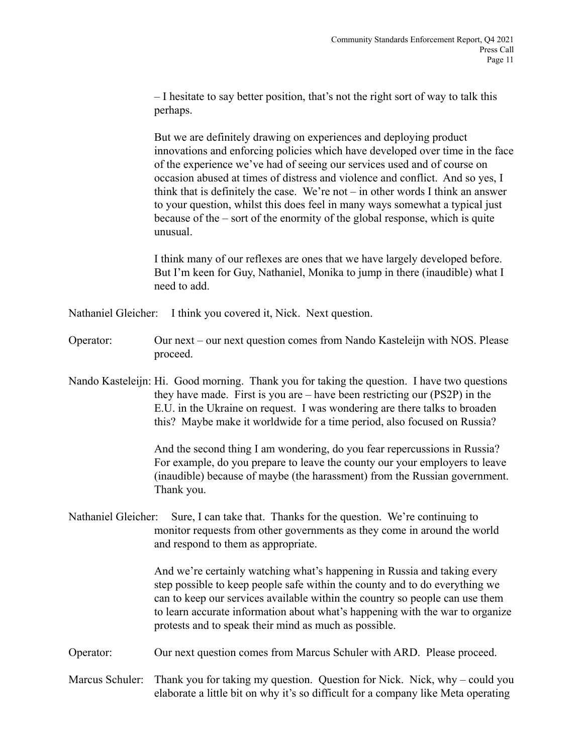– I hesitate to say better position, that's not the right sort of way to talk this perhaps.

But we are definitely drawing on experiences and deploying product innovations and enforcing policies which have developed over time in the face of the experience we've had of seeing our services used and of course on occasion abused at times of distress and violence and conflict. And so yes, I think that is definitely the case. We're not – in other words I think an answer to your question, whilst this does feel in many ways somewhat a typical just because of the – sort of the enormity of the global response, which is quite unusual.

I think many of our reflexes are ones that we have largely developed before. But I'm keen for Guy, Nathaniel, Monika to jump in there (inaudible) what I need to add.

Nathaniel Gleicher: I think you covered it, Nick. Next question.

- Operator: Our next our next question comes from Nando Kasteleijn with NOS. Please proceed.
- Nando Kasteleijn: Hi. Good morning. Thank you for taking the question. I have two questions they have made. First is you are – have been restricting our (PS2P) in the E.U. in the Ukraine on request. I was wondering are there talks to broaden this? Maybe make it worldwide for a time period, also focused on Russia?

And the second thing I am wondering, do you fear repercussions in Russia? For example, do you prepare to leave the county our your employers to leave (inaudible) because of maybe (the harassment) from the Russian government. Thank you.

Nathaniel Gleicher: Sure, I can take that. Thanks for the question. We're continuing to monitor requests from other governments as they come in around the world and respond to them as appropriate.

> And we're certainly watching what's happening in Russia and taking every step possible to keep people safe within the county and to do everything we can to keep our services available within the country so people can use them to learn accurate information about what's happening with the war to organize protests and to speak their mind as much as possible.

- Operator: Our next question comes from Marcus Schuler with ARD. Please proceed.
- Marcus Schuler: Thank you for taking my question. Question for Nick. Nick, why could you elaborate a little bit on why it's so difficult for a company like Meta operating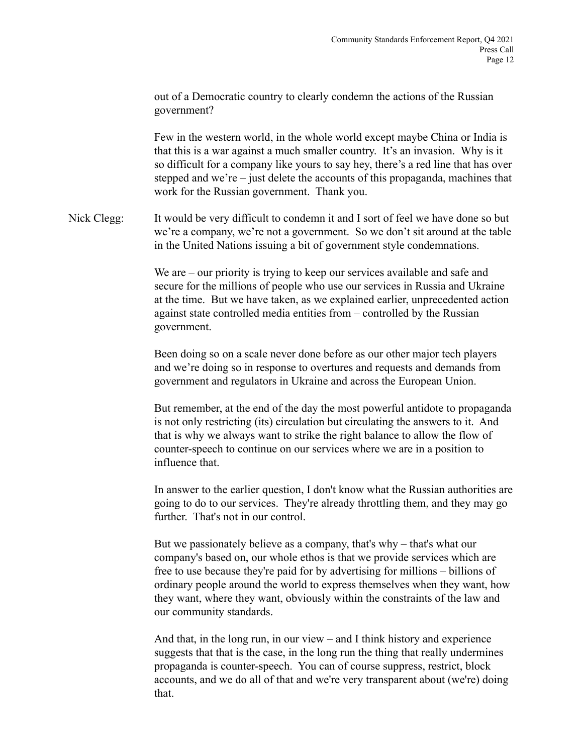out of a Democratic country to clearly condemn the actions of the Russian government?

Few in the western world, in the whole world except maybe China or India is that this is a war against a much smaller country. It's an invasion. Why is it so difficult for a company like yours to say hey, there's a red line that has over stepped and we're – just delete the accounts of this propaganda, machines that work for the Russian government. Thank you.

Nick Clegg: It would be very difficult to condemn it and I sort of feel we have done so but we're a company, we're not a government. So we don't sit around at the table in the United Nations issuing a bit of government style condemnations.

> We are – our priority is trying to keep our services available and safe and secure for the millions of people who use our services in Russia and Ukraine at the time. But we have taken, as we explained earlier, unprecedented action against state controlled media entities from – controlled by the Russian government.

Been doing so on a scale never done before as our other major tech players and we're doing so in response to overtures and requests and demands from government and regulators in Ukraine and across the European Union.

But remember, at the end of the day the most powerful antidote to propaganda is not only restricting (its) circulation but circulating the answers to it. And that is why we always want to strike the right balance to allow the flow of counter-speech to continue on our services where we are in a position to influence that.

In answer to the earlier question, I don't know what the Russian authorities are going to do to our services. They're already throttling them, and they may go further. That's not in our control.

But we passionately believe as a company, that's why – that's what our company's based on, our whole ethos is that we provide services which are free to use because they're paid for by advertising for millions – billions of ordinary people around the world to express themselves when they want, how they want, where they want, obviously within the constraints of the law and our community standards.

And that, in the long run, in our view – and I think history and experience suggests that that is the case, in the long run the thing that really undermines propaganda is counter-speech. You can of course suppress, restrict, block accounts, and we do all of that and we're very transparent about (we're) doing that.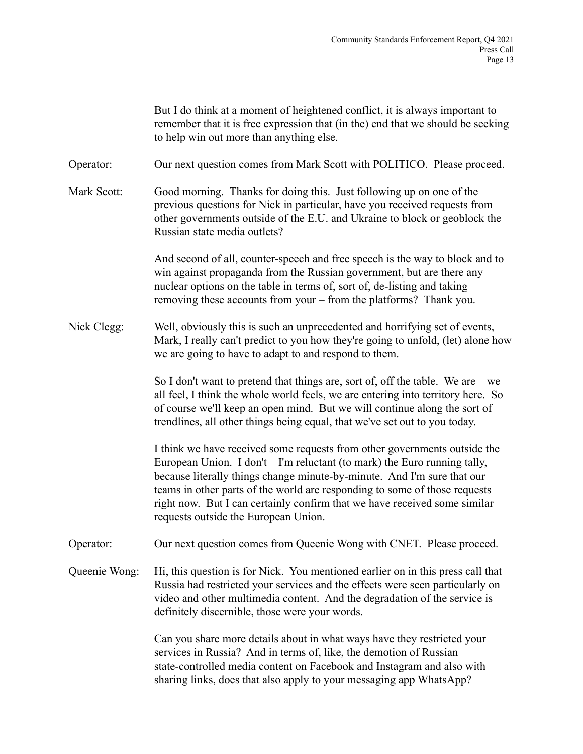|               | But I do think at a moment of heightened conflict, it is always important to<br>remember that it is free expression that (in the) end that we should be seeking<br>to help win out more than anything else.                                                                                                                                                                                                                          |
|---------------|--------------------------------------------------------------------------------------------------------------------------------------------------------------------------------------------------------------------------------------------------------------------------------------------------------------------------------------------------------------------------------------------------------------------------------------|
| Operator:     | Our next question comes from Mark Scott with POLITICO. Please proceed.                                                                                                                                                                                                                                                                                                                                                               |
| Mark Scott:   | Good morning. Thanks for doing this. Just following up on one of the<br>previous questions for Nick in particular, have you received requests from<br>other governments outside of the E.U. and Ukraine to block or geoblock the<br>Russian state media outlets?                                                                                                                                                                     |
|               | And second of all, counter-speech and free speech is the way to block and to<br>win against propaganda from the Russian government, but are there any<br>nuclear options on the table in terms of, sort of, de-listing and taking -<br>removing these accounts from your – from the platforms? Thank you.                                                                                                                            |
| Nick Clegg:   | Well, obviously this is such an unprecedented and horrifying set of events,<br>Mark, I really can't predict to you how they're going to unfold, (let) alone how<br>we are going to have to adapt to and respond to them.                                                                                                                                                                                                             |
|               | So I don't want to pretend that things are, sort of, off the table. We are $-$ we<br>all feel, I think the whole world feels, we are entering into territory here. So<br>of course we'll keep an open mind. But we will continue along the sort of<br>trendlines, all other things being equal, that we've set out to you today.                                                                                                     |
|               | I think we have received some requests from other governments outside the<br>European Union. I don't – I'm reluctant (to mark) the Euro running tally,<br>because literally things change minute-by-minute. And I'm sure that our<br>teams in other parts of the world are responding to some of those requests<br>right now. But I can certainly confirm that we have received some similar<br>requests outside the European Union. |
| Operator:     | Our next question comes from Queenie Wong with CNET. Please proceed.                                                                                                                                                                                                                                                                                                                                                                 |
| Queenie Wong: | Hi, this question is for Nick. You mentioned earlier on in this press call that<br>Russia had restricted your services and the effects were seen particularly on<br>video and other multimedia content. And the degradation of the service is<br>definitely discernible, those were your words.                                                                                                                                      |
|               | Can you share more details about in what ways have they restricted your<br>services in Russia? And in terms of, like, the demotion of Russian<br>state-controlled media content on Facebook and Instagram and also with<br>sharing links, does that also apply to your messaging app WhatsApp?                                                                                                                                       |
|               |                                                                                                                                                                                                                                                                                                                                                                                                                                      |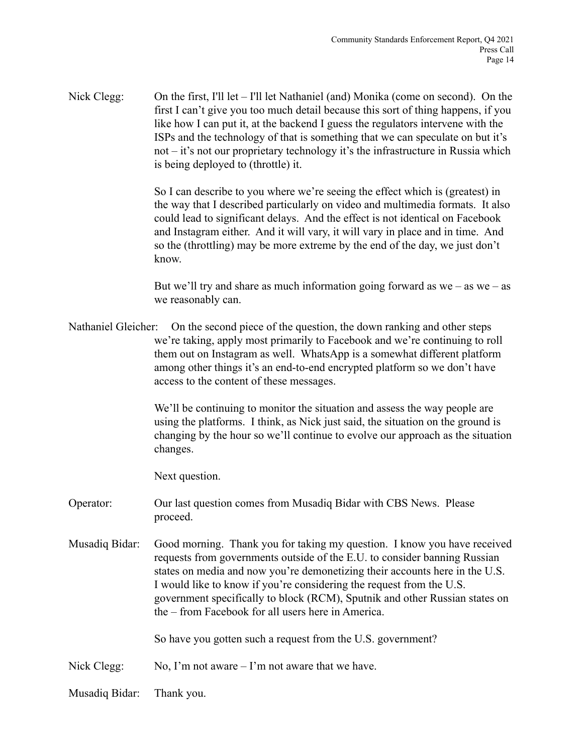Nick Clegg: On the first, I'll let – I'll let Nathaniel (and) Monika (come on second). On the first I can't give you too much detail because this sort of thing happens, if you like how I can put it, at the backend I guess the regulators intervene with the ISPs and the technology of that is something that we can speculate on but it's not – it's not our proprietary technology it's the infrastructure in Russia which is being deployed to (throttle) it.

> So I can describe to you where we're seeing the effect which is (greatest) in the way that I described particularly on video and multimedia formats. It also could lead to significant delays. And the effect is not identical on Facebook and Instagram either. And it will vary, it will vary in place and in time. And so the (throttling) may be more extreme by the end of the day, we just don't know.

> But we'll try and share as much information going forward as we – as we – as we reasonably can.

Nathaniel Gleicher: On the second piece of the question, the down ranking and other steps we're taking, apply most primarily to Facebook and we're continuing to roll them out on Instagram as well. WhatsApp is a somewhat different platform among other things it's an end-to-end encrypted platform so we don't have access to the content of these messages.

> We'll be continuing to monitor the situation and assess the way people are using the platforms. I think, as Nick just said, the situation on the ground is changing by the hour so we'll continue to evolve our approach as the situation changes.

Next question.

- Operator: Our last question comes from Musadiq Bidar with CBS News. Please proceed.
- Musadiq Bidar: Good morning. Thank you for taking my question. I know you have received requests from governments outside of the E.U. to consider banning Russian states on media and now you're demonetizing their accounts here in the U.S. I would like to know if you're considering the request from the U.S. government specifically to block (RCM), Sputnik and other Russian states on the – from Facebook for all users here in America.

So have you gotten such a request from the U.S. government?

Nick Clegg:  $N_0$ , I'm not aware – I'm not aware that we have.

Musadiq Bidar: Thank you.